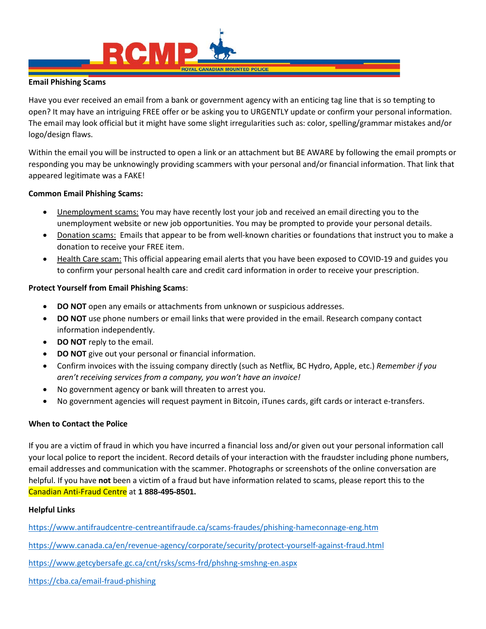

## **Email Phishing Scams**

Have you ever received an email from a bank or government agency with an enticing tag line that is so tempting to open? It may have an intriguing FREE offer or be asking you to URGENTLY update or confirm your personal information. The email may look official but it might have some slight irregularities such as: color, spelling/grammar mistakes and/or logo/design flaws.

Within the email you will be instructed to open a link or an attachment but BE AWARE by following the email prompts or responding you may be unknowingly providing scammers with your personal and/or financial information. That link that appeared legitimate was a FAKE!

# **Common Email Phishing Scams:**

- Unemployment scams: You may have recently lost your job and received an email directing you to the unemployment website or new job opportunities. You may be prompted to provide your personal details.
- Donation scams: Emails that appear to be from well-known charities or foundations that instruct you to make a donation to receive your FREE item.
- Health Care scam: This official appearing email alerts that you have been exposed to COVID-19 and guides you to confirm your personal health care and credit card information in order to receive your prescription.

# **Protect Yourself from Email Phishing Scams**:

- **DO NOT** open any emails or attachments from unknown or suspicious addresses.
- **DO NOT** use phone numbers or email links that were provided in the email. Research company contact information independently.
- **DO NOT** reply to the email.
- **DO NOT** give out your personal or financial information.
- Confirm invoices with the issuing company directly (such as Netflix, BC Hydro, Apple, etc.) *Remember if you aren't receiving services from a company, you won't have an invoice!*
- No government agency or bank will threaten to arrest you.
- No government agencies will request payment in Bitcoin, iTunes cards, gift cards or interact e-transfers.

# **When to Contact the Police**

If you are a victim of fraud in which you have incurred a financial loss and/or given out your personal information call your local police to report the incident. Record details of your interaction with the fraudster including phone numbers, email addresses and communication with the scammer. Photographs or screenshots of the online conversation are helpful. If you have **not** been a victim of a fraud but have information related to scams, please report this to the Canadian Anti-Fraud Centre at **1 888-495-8501.**

# **Helpful Links**

<https://www.antifraudcentre-centreantifraude.ca/scams-fraudes/phishing-hameconnage-eng.htm> <https://www.canada.ca/en/revenue-agency/corporate/security/protect-yourself-against-fraud.html> <https://www.getcybersafe.gc.ca/cnt/rsks/scms-frd/phshng-smshng-en.aspx>

<https://cba.ca/email-fraud-phishing>